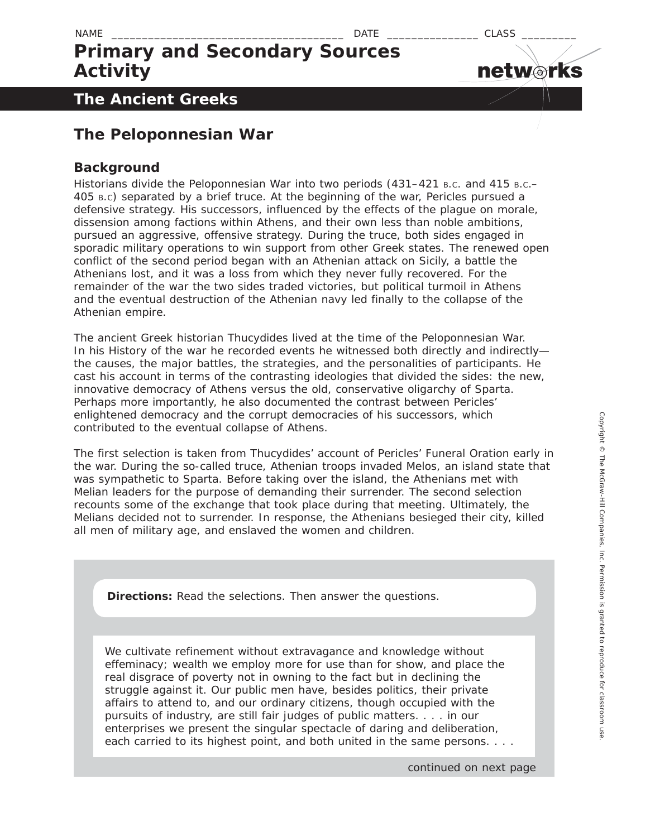**networks** 

# **Primary and Secondary Sources Activity**

### **The Ancient Greeks**

### **The Peloponnesian War**

### **Background**

Historians divide the Peloponnesian War into two periods (431–421 B.c. and 415 B.c.– 405 B.C) separated by a brief truce. At the beginning of the war, Pericles pursued a defensive strategy. His successors, influenced by the effects of the plague on morale, dissension among factions within Athens, and their own less than noble ambitions, pursued an aggressive, offensive strategy. During the truce, both sides engaged in sporadic military operations to win support from other Greek states. The renewed open conflict of the second period began with an Athenian attack on Sicily, a battle the Athenians lost, and it was a loss from which they never fully recovered. For the remainder of the war the two sides traded victories, but political turmoil in Athens and the eventual destruction of the Athenian navy led finally to the collapse of the Athenian empire.

The ancient Greek historian Thucydides lived at the time of the Peloponnesian War. In his *History* of the war he recorded events he witnessed both directly and indirectly the causes, the major battles, the strategies, and the personalities of participants. He cast his account in terms of the contrasting ideologies that divided the sides: the new, innovative democracy of Athens versus the old, conservative oligarchy of Sparta. Perhaps more importantly, he also documented the contrast between Pericles' enlightened democracy and the corrupt democracies of his successors, which contributed to the eventual collapse of Athens.

The first selection is taken from Thucydides' account of Pericles' Funeral Oration early in the war. During the so-called truce, Athenian troops invaded Melos, an island state that was sympathetic to Sparta. Before taking over the island, the Athenians met with Melian leaders for the purpose of demanding their surrender. The second selection recounts some of the exchange that took place during that meeting. Ultimately, the Melians decided not to surrender. In response, the Athenians besieged their city, killed all men of military age, and enslaved the women and children.

**Directions:** Read the selections. Then answer the questions.

We cultivate refinement without extravagance and knowledge without effeminacy; wealth we employ more for use than for show, and place the real disgrace of poverty not in owning to the fact but in declining the struggle against it. Our public men have, besides politics, their private affairs to attend to, and our ordinary citizens, though occupied with the pursuits of industry, are still fair judges of public matters. . . . in our enterprises we present the singular spectacle of daring and deliberation, each carried to its highest point, and both united in the same persons. . . .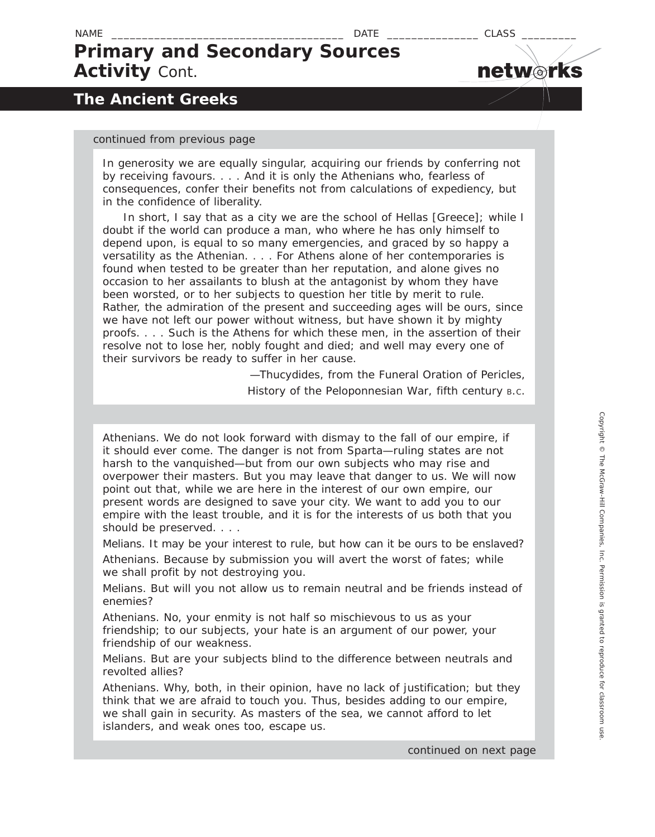### NAME \_\_\_\_\_\_\_\_\_\_\_\_\_\_\_\_\_\_\_\_\_\_\_\_\_\_\_\_\_\_\_\_\_\_\_\_\_\_ DATE \_\_\_\_\_\_\_\_\_\_\_\_\_\_\_ CLASS \_\_\_\_\_\_\_\_\_ **Primary and Secondary Sources Activity** *Cont.*

### **The Ancient Greeks**

#### *continued from previous page*

In generosity we are equally singular, acquiring our friends by conferring not by receiving favours. . . . And it is only the Athenians who, fearless of consequences, confer their benefits not from calculations of expediency, but in the confidence of liberality.

 In short, I say that as a city we are the school of Hellas [Greece]; while I doubt if the world can produce a man, who where he has only himself to depend upon, is equal to so many emergencies, and graced by so happy a versatility as the Athenian. . . . For Athens alone of her contemporaries is found when tested to be greater than her reputation, and alone gives no occasion to her assailants to blush at the antagonist by whom they have been worsted, or to her subjects to question her title by merit to rule. Rather, the admiration of the present and succeeding ages will be ours, since we have not left our power without witness, but have shown it by mighty proofs. . . . Such is the Athens for which these men, in the assertion of their resolve not to lose her, nobly fought and died; and well may every one of their survivors be ready to suffer in her cause.

> —Thucydides, from the Funeral Oration of Pericles, *History of the Peloponnesian War,* fifth century B.C.

*Athenians.* We do not look forward with dismay to the fall of our empire, if it should ever come. The danger is not from Sparta—ruling states are not harsh to the vanquished—but from our own subjects who may rise and overpower their masters. But you may leave that danger to us. We will now point out that, while we are here in the interest of our own empire, our present words are designed to save your city. We want to add you to our empire with the least trouble, and it is for the interests of us both that you should be preserved. . . .

*Melians.* It may be your interest to rule, but how can it be ours to be enslaved? *Athenians.* Because by submission you will avert the worst of fates; while we shall profit by not destroying you.

*Melians.* But will you not allow us to remain neutral and be friends instead of enemies?

*Athenians.* No, your enmity is not half so mischievous to us as your friendship; to our subjects, your hate is an argument of our power, your friendship of our weakness.

*Melians.* But are your subjects blind to the difference between neutrals and revolted allies?

*Athenians.* Why, both, in their opinion, have no lack of justification; but they think that we are afraid to touch you. Thus, besides adding to our empire, we shall gain in security. As masters of the sea, we cannot afford to let islanders, and weak ones too, escape us.

*continued on next page*

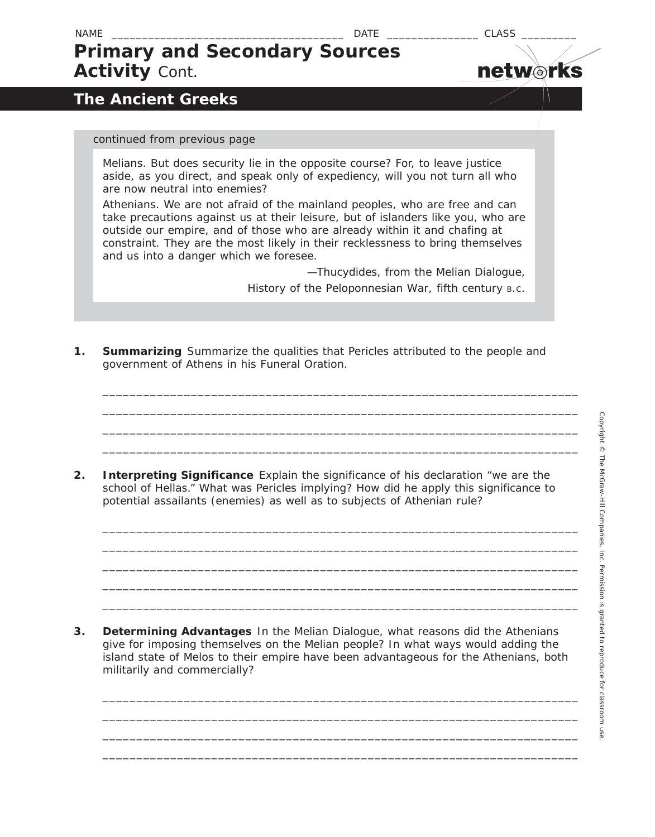**netw rks**

### NAME \_\_\_\_\_\_\_\_\_\_\_\_\_\_\_\_\_\_\_\_\_\_\_\_\_\_\_\_\_\_\_\_\_\_\_\_\_\_ DATE \_\_\_\_\_\_\_\_\_\_\_\_\_\_\_ CLASS \_\_\_\_\_\_\_\_\_ **Primary and Secondary Sources Activity** *Cont.*

**The Ancient Greeks**

### *continued from previous page*

*Melians.* But does security lie in the opposite course? For, to leave justice aside, as you direct, and speak only of expediency, will you not turn all who are now neutral into enemies?

*Athenians.* We are not afraid of the mainland peoples, who are free and can take precautions against us at their leisure, but of islanders like you, who are outside our empire, and of those who are already within it and chafing at constraint. They are the most likely in their recklessness to bring themselves and us into a danger which we foresee.

> —Thucydides, from the Melian Dialogue, *History of the Peloponnesian War,* fifth century B.C.

**1. Summarizing** Summarize the qualities that Pericles attributed to the people and government of Athens in his Funeral Oration.

\_\_\_\_\_\_\_\_\_\_\_\_\_\_\_\_\_\_\_\_\_\_\_\_\_\_\_\_\_\_\_\_\_\_\_\_\_\_\_\_\_\_\_\_\_\_\_\_\_\_\_\_\_\_\_\_\_\_\_\_\_\_\_\_\_\_\_\_\_\_ \_\_\_\_\_\_\_\_\_\_\_\_\_\_\_\_\_\_\_\_\_\_\_\_\_\_\_\_\_\_\_\_\_\_\_\_\_\_\_\_\_\_\_\_\_\_\_\_\_\_\_\_\_\_\_\_\_\_\_\_\_\_\_\_\_\_\_\_\_\_ \_\_\_\_\_\_\_\_\_\_\_\_\_\_\_\_\_\_\_\_\_\_\_\_\_\_\_\_\_\_\_\_\_\_\_\_\_\_\_\_\_\_\_\_\_\_\_\_\_\_\_\_\_\_\_\_\_\_\_\_\_\_\_\_\_\_\_\_\_\_ \_\_\_\_\_\_\_\_\_\_\_\_\_\_\_\_\_\_\_\_\_\_\_\_\_\_\_\_\_\_\_\_\_\_\_\_\_\_\_\_\_\_\_\_\_\_\_\_\_\_\_\_\_\_\_\_\_\_\_\_\_\_\_\_\_\_\_\_\_\_

\_\_\_\_\_\_\_\_\_\_\_\_\_\_\_\_\_\_\_\_\_\_\_\_\_\_\_\_\_\_\_\_\_\_\_\_\_\_\_\_\_\_\_\_\_\_\_\_\_\_\_\_\_\_\_\_\_\_\_\_\_\_\_\_\_\_\_\_\_\_ \_\_\_\_\_\_\_\_\_\_\_\_\_\_\_\_\_\_\_\_\_\_\_\_\_\_\_\_\_\_\_\_\_\_\_\_\_\_\_\_\_\_\_\_\_\_\_\_\_\_\_\_\_\_\_\_\_\_\_\_\_\_\_\_\_\_\_\_\_\_ \_\_\_\_\_\_\_\_\_\_\_\_\_\_\_\_\_\_\_\_\_\_\_\_\_\_\_\_\_\_\_\_\_\_\_\_\_\_\_\_\_\_\_\_\_\_\_\_\_\_\_\_\_\_\_\_\_\_\_\_\_\_\_\_\_\_\_\_\_\_ \_\_\_\_\_\_\_\_\_\_\_\_\_\_\_\_\_\_\_\_\_\_\_\_\_\_\_\_\_\_\_\_\_\_\_\_\_\_\_\_\_\_\_\_\_\_\_\_\_\_\_\_\_\_\_\_\_\_\_\_\_\_\_\_\_\_\_\_\_\_ \_\_\_\_\_\_\_\_\_\_\_\_\_\_\_\_\_\_\_\_\_\_\_\_\_\_\_\_\_\_\_\_\_\_\_\_\_\_\_\_\_\_\_\_\_\_\_\_\_\_\_\_\_\_\_\_\_\_\_\_\_\_\_\_\_\_\_\_\_\_

**2. Interpreting Significance** Explain the significance of his declaration "we are the school of Hellas." What was Pericles implying? How did he apply this significance to potential assailants (enemies) as well as to subjects of Athenian rule?

**3. Determining Advantages** In the Melian Dialogue, what reasons did the Athenians give for imposing themselves on the Melian people? In what ways would adding the island state of Melos to their empire have been advantageous for the Athenians, both militarily and commercially?

\_\_\_\_\_\_\_\_\_\_\_\_\_\_\_\_\_\_\_\_\_\_\_\_\_\_\_\_\_\_\_\_\_\_\_\_\_\_\_\_\_\_\_\_\_\_\_\_\_\_\_\_\_\_\_\_\_\_\_\_\_\_\_\_\_\_\_\_\_\_ \_\_\_\_\_\_\_\_\_\_\_\_\_\_\_\_\_\_\_\_\_\_\_\_\_\_\_\_\_\_\_\_\_\_\_\_\_\_\_\_\_\_\_\_\_\_\_\_\_\_\_\_\_\_\_\_\_\_\_\_\_\_\_\_\_\_\_\_\_\_ \_\_\_\_\_\_\_\_\_\_\_\_\_\_\_\_\_\_\_\_\_\_\_\_\_\_\_\_\_\_\_\_\_\_\_\_\_\_\_\_\_\_\_\_\_\_\_\_\_\_\_\_\_\_\_\_\_\_\_\_\_\_\_\_\_\_\_\_\_\_ \_\_\_\_\_\_\_\_\_\_\_\_\_\_\_\_\_\_\_\_\_\_\_\_\_\_\_\_\_\_\_\_\_\_\_\_\_\_\_\_\_\_\_\_\_\_\_\_\_\_\_\_\_\_\_\_\_\_\_\_\_\_\_\_\_\_\_\_\_\_